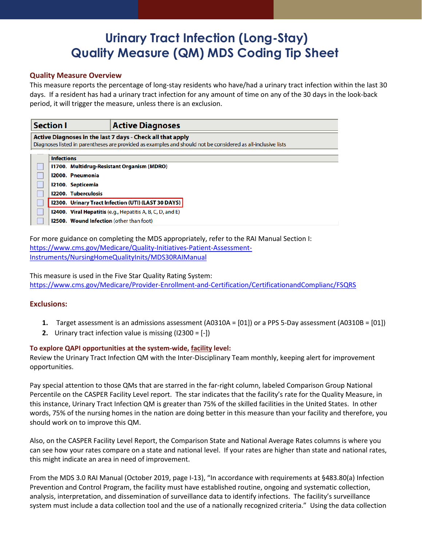# **Urinary Tract Infection (Long-Stay) Quality Measure (QM) MDS Coding Tip Sheet**

# **Quality Measure Overview**

This measure reports the percentage of long-stay residents who have/had a urinary tract infection within the last 30 days. If a resident has had a urinary tract infection for any amount of time on any of the 30 days in the look-back period, it will trigger the measure, unless there is an exclusion.

| <b>Section I</b>                           |                                                 | <b>Active Diagnoses</b>                                                                                      |  |
|--------------------------------------------|-------------------------------------------------|--------------------------------------------------------------------------------------------------------------|--|
|                                            |                                                 | Active Diagnoses in the last 7 days - Check all that apply                                                   |  |
|                                            |                                                 | Diagnoses listed in parentheses are provided as examples and should not be considered as all-inclusive lists |  |
|                                            | <b>Infections</b>                               |                                                                                                              |  |
| 11700. Multidrug-Resistant Organism (MDRO) |                                                 |                                                                                                              |  |
|                                            | 12000. Pneumonia                                |                                                                                                              |  |
|                                            | 12100. Septicemia                               |                                                                                                              |  |
|                                            | <b>I2200. Tuberculosis</b>                      |                                                                                                              |  |
|                                            |                                                 | I2300. Urinary Tract Infection (UTI) (LAST 30 DAYS)                                                          |  |
|                                            |                                                 | 12400. Viral Hepatitis (e.g., Hepatitis A, B, C, D, and E)                                                   |  |
|                                            | <b>12500. Wound Infection (other than foot)</b> |                                                                                                              |  |

For more guidance on completing the MDS appropriately, refer to the RAI Manual Section I: [https://www.cms.gov/Medicare/Quality-Initiatives-Patient-Assessment-](https://www.cms.gov/Medicare/Quality-Initiatives-Patient-Assessment-Instruments/NursingHomeQualityInits/MDS30RAIManual)[Instruments/NursingHomeQualityInits/MDS30RAIManual](https://www.cms.gov/Medicare/Quality-Initiatives-Patient-Assessment-Instruments/NursingHomeQualityInits/MDS30RAIManual)

This measure is used in the Five Star Quality Rating System: <https://www.cms.gov/Medicare/Provider-Enrollment-and-Certification/CertificationandComplianc/FSQRS>

### **Exclusions:**

- **1.** Target assessment is an admissions assessment (A0310A = [01]) or a PPS 5-Day assessment (A0310B = [01])
- **2.** Urinary tract infection value is missing (I2300 = [-])

### **To explore QAPI opportunities at the system-wide, facility level:**

Review the Urinary Tract Infection QM with the Inter-Disciplinary Team monthly, keeping alert for improvement opportunities.

Pay special attention to those QMs that are starred in the far-right column, labeled Comparison Group National Percentile on the CASPER Facility Level report. The star indicates that the facility's rate for the Quality Measure, in this instance, Urinary Tract Infection QM is greater than 75% of the skilled facilities in the United States. In other words, 75% of the nursing homes in the nation are doing better in this measure than your facility and therefore, you should work on to improve this QM.

Also, on the CASPER Facility Level Report, the Comparison State and National Average Rates columns is where you can see how your rates compare on a state and national level. If your rates are higher than state and national rates, this might indicate an area in need of improvement.

From the MDS 3.0 RAI Manual (October 2019, page I-13), "In accordance with requirements at §483.80(a) Infection Prevention and Control Program, the facility must have established routine, ongoing and systematic collection, analysis, interpretation, and dissemination of surveillance data to identify infections. The facility's surveillance system must include a data collection tool and the use of a nationally recognized criteria." Using the data collection